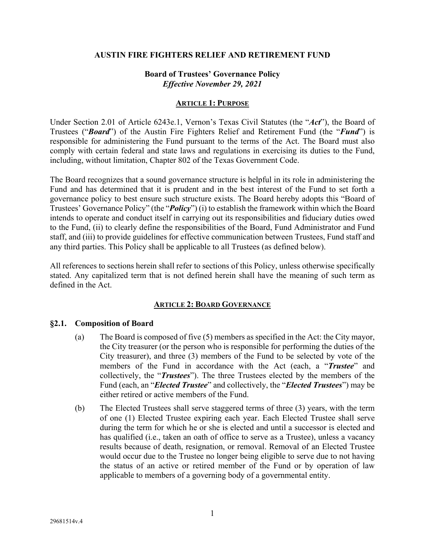### **AUSTIN FIRE FIGHTERS RELIEF AND RETIREMENT FUND**

## **Board of Trustees' Governance Policy**  *Effective November 29, 2021*

#### **ARTICLE 1: PURPOSE**

Under Section 2.01 of Article 6243e.1, Vernon's Texas Civil Statutes (the "*Act*"), the Board of Trustees ("*Board*") of the Austin Fire Fighters Relief and Retirement Fund (the "*Fund*") is responsible for administering the Fund pursuant to the terms of the Act. The Board must also comply with certain federal and state laws and regulations in exercising its duties to the Fund, including, without limitation, Chapter 802 of the Texas Government Code.

The Board recognizes that a sound governance structure is helpful in its role in administering the Fund and has determined that it is prudent and in the best interest of the Fund to set forth a governance policy to best ensure such structure exists. The Board hereby adopts this "Board of Trustees' Governance Policy" (the "*Policy*") (i) to establish the framework within which the Board intends to operate and conduct itself in carrying out its responsibilities and fiduciary duties owed to the Fund, (ii) to clearly define the responsibilities of the Board, Fund Administrator and Fund staff, and (iii) to provide guidelines for effective communication between Trustees, Fund staff and any third parties. This Policy shall be applicable to all Trustees (as defined below).

All references to sections herein shall refer to sections of this Policy, unless otherwise specifically stated. Any capitalized term that is not defined herein shall have the meaning of such term as defined in the Act.

### **ARTICLE 2: BOARD GOVERNANCE**

### **§2.1. Composition of Board**

- (a) The Board is composed of five (5) members as specified in the Act: the City mayor, the City treasurer (or the person who is responsible for performing the duties of the City treasurer), and three (3) members of the Fund to be selected by vote of the members of the Fund in accordance with the Act (each, a "*Trustee*" and collectively, the "*Trustees*"). The three Trustees elected by the members of the Fund (each, an "*Elected Trustee*" and collectively, the "*Elected Trustees*") may be either retired or active members of the Fund.
- (b) The Elected Trustees shall serve staggered terms of three (3) years, with the term of one (1) Elected Trustee expiring each year. Each Elected Trustee shall serve during the term for which he or she is elected and until a successor is elected and has qualified (i.e., taken an oath of office to serve as a Trustee), unless a vacancy results because of death, resignation, or removal. Removal of an Elected Trustee would occur due to the Trustee no longer being eligible to serve due to not having the status of an active or retired member of the Fund or by operation of law applicable to members of a governing body of a governmental entity.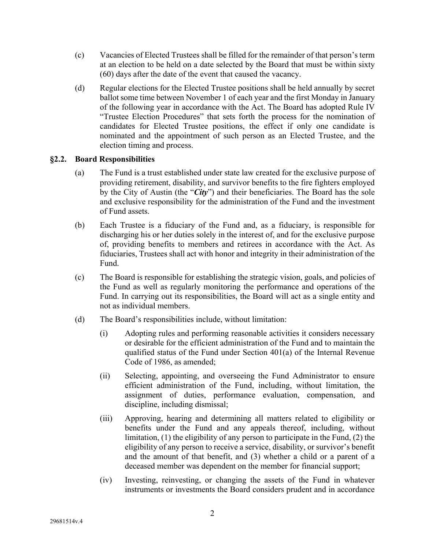- (c) Vacancies of Elected Trustees shall be filled for the remainder of that person's term at an election to be held on a date selected by the Board that must be within sixty (60) days after the date of the event that caused the vacancy.
- (d) Regular elections for the Elected Trustee positions shall be held annually by secret ballot some time between November 1 of each year and the first Monday in January of the following year in accordance with the Act. The Board has adopted Rule IV "Trustee Election Procedures" that sets forth the process for the nomination of candidates for Elected Trustee positions, the effect if only one candidate is nominated and the appointment of such person as an Elected Trustee, and the election timing and process.

## **§2.2. Board Responsibilities**

- (a) The Fund is a trust established under state law created for the exclusive purpose of providing retirement, disability, and survivor benefits to the fire fighters employed by the City of Austin (the "*City*") and their beneficiaries. The Board has the sole and exclusive responsibility for the administration of the Fund and the investment of Fund assets.
- (b) Each Trustee is a fiduciary of the Fund and, as a fiduciary, is responsible for discharging his or her duties solely in the interest of, and for the exclusive purpose of, providing benefits to members and retirees in accordance with the Act. As fiduciaries, Trustees shall act with honor and integrity in their administration of the Fund.
- (c) The Board is responsible for establishing the strategic vision, goals, and policies of the Fund as well as regularly monitoring the performance and operations of the Fund. In carrying out its responsibilities, the Board will act as a single entity and not as individual members.
- (d) The Board's responsibilities include, without limitation:
	- (i) Adopting rules and performing reasonable activities it considers necessary or desirable for the efficient administration of the Fund and to maintain the qualified status of the Fund under Section 401(a) of the Internal Revenue Code of 1986, as amended;
	- (ii) Selecting, appointing, and overseeing the Fund Administrator to ensure efficient administration of the Fund, including, without limitation, the assignment of duties, performance evaluation, compensation, and discipline, including dismissal;
	- (iii) Approving, hearing and determining all matters related to eligibility or benefits under the Fund and any appeals thereof, including, without limitation, (1) the eligibility of any person to participate in the Fund, (2) the eligibility of any person to receive a service, disability, or survivor's benefit and the amount of that benefit, and (3) whether a child or a parent of a deceased member was dependent on the member for financial support;
	- (iv) Investing, reinvesting, or changing the assets of the Fund in whatever instruments or investments the Board considers prudent and in accordance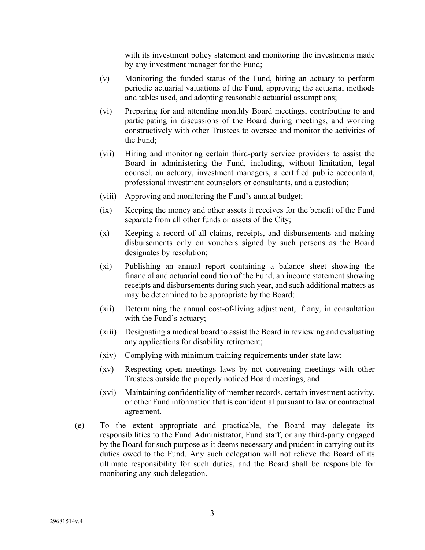with its investment policy statement and monitoring the investments made by any investment manager for the Fund;

- (v) Monitoring the funded status of the Fund, hiring an actuary to perform periodic actuarial valuations of the Fund, approving the actuarial methods and tables used, and adopting reasonable actuarial assumptions;
- (vi) Preparing for and attending monthly Board meetings, contributing to and participating in discussions of the Board during meetings, and working constructively with other Trustees to oversee and monitor the activities of the Fund;
- (vii) Hiring and monitoring certain third-party service providers to assist the Board in administering the Fund, including, without limitation, legal counsel, an actuary, investment managers, a certified public accountant, professional investment counselors or consultants, and a custodian;
- (viii) Approving and monitoring the Fund's annual budget;
- (ix) Keeping the money and other assets it receives for the benefit of the Fund separate from all other funds or assets of the City;
- (x) Keeping a record of all claims, receipts, and disbursements and making disbursements only on vouchers signed by such persons as the Board designates by resolution;
- (xi) Publishing an annual report containing a balance sheet showing the financial and actuarial condition of the Fund, an income statement showing receipts and disbursements during such year, and such additional matters as may be determined to be appropriate by the Board;
- (xii) Determining the annual cost-of-living adjustment, if any, in consultation with the Fund's actuary;
- (xiii) Designating a medical board to assist the Board in reviewing and evaluating any applications for disability retirement;
- (xiv) Complying with minimum training requirements under state law;
- (xv) Respecting open meetings laws by not convening meetings with other Trustees outside the properly noticed Board meetings; and
- (xvi) Maintaining confidentiality of member records, certain investment activity, or other Fund information that is confidential pursuant to law or contractual agreement.
- (e) To the extent appropriate and practicable, the Board may delegate its responsibilities to the Fund Administrator, Fund staff, or any third-party engaged by the Board for such purpose as it deems necessary and prudent in carrying out its duties owed to the Fund. Any such delegation will not relieve the Board of its ultimate responsibility for such duties, and the Board shall be responsible for monitoring any such delegation.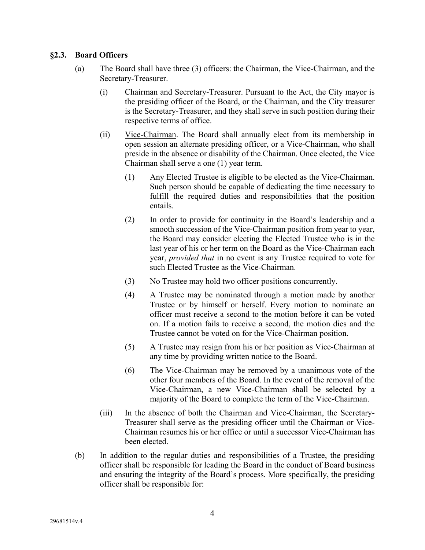## **§2.3. Board Officers**

- (a) The Board shall have three (3) officers: the Chairman, the Vice-Chairman, and the Secretary-Treasurer.
	- (i) Chairman and Secretary-Treasurer. Pursuant to the Act, the City mayor is the presiding officer of the Board, or the Chairman, and the City treasurer is the Secretary-Treasurer, and they shall serve in such position during their respective terms of office.
	- (ii) Vice-Chairman. The Board shall annually elect from its membership in open session an alternate presiding officer, or a Vice-Chairman, who shall preside in the absence or disability of the Chairman. Once elected, the Vice Chairman shall serve a one (1) year term.
		- (1) Any Elected Trustee is eligible to be elected as the Vice-Chairman. Such person should be capable of dedicating the time necessary to fulfill the required duties and responsibilities that the position entails.
		- (2) In order to provide for continuity in the Board's leadership and a smooth succession of the Vice-Chairman position from year to year, the Board may consider electing the Elected Trustee who is in the last year of his or her term on the Board as the Vice-Chairman each year, *provided that* in no event is any Trustee required to vote for such Elected Trustee as the Vice-Chairman.
		- (3) No Trustee may hold two officer positions concurrently.
		- (4) A Trustee may be nominated through a motion made by another Trustee or by himself or herself. Every motion to nominate an officer must receive a second to the motion before it can be voted on. If a motion fails to receive a second, the motion dies and the Trustee cannot be voted on for the Vice-Chairman position.
		- (5) A Trustee may resign from his or her position as Vice-Chairman at any time by providing written notice to the Board.
		- (6) The Vice-Chairman may be removed by a unanimous vote of the other four members of the Board. In the event of the removal of the Vice-Chairman, a new Vice-Chairman shall be selected by a majority of the Board to complete the term of the Vice-Chairman.
	- (iii) In the absence of both the Chairman and Vice-Chairman, the Secretary-Treasurer shall serve as the presiding officer until the Chairman or Vice-Chairman resumes his or her office or until a successor Vice-Chairman has been elected.
- (b) In addition to the regular duties and responsibilities of a Trustee, the presiding officer shall be responsible for leading the Board in the conduct of Board business and ensuring the integrity of the Board's process. More specifically, the presiding officer shall be responsible for: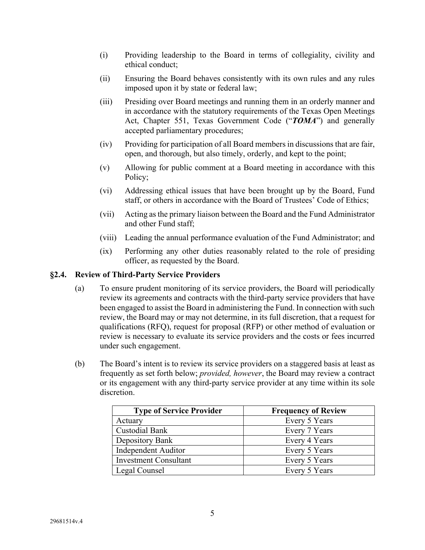- (i) Providing leadership to the Board in terms of collegiality, civility and ethical conduct;
- (ii) Ensuring the Board behaves consistently with its own rules and any rules imposed upon it by state or federal law;
- (iii) Presiding over Board meetings and running them in an orderly manner and in accordance with the statutory requirements of the Texas Open Meetings Act, Chapter 551, Texas Government Code ("*TOMA*") and generally accepted parliamentary procedures;
- (iv) Providing for participation of all Board members in discussions that are fair, open, and thorough, but also timely, orderly, and kept to the point;
- (v) Allowing for public comment at a Board meeting in accordance with this Policy;
- (vi) Addressing ethical issues that have been brought up by the Board, Fund staff, or others in accordance with the Board of Trustees' Code of Ethics;
- (vii) Acting as the primary liaison between the Board and the Fund Administrator and other Fund staff;
- (viii) Leading the annual performance evaluation of the Fund Administrator; and
- (ix) Performing any other duties reasonably related to the role of presiding officer, as requested by the Board.

#### **§2.4. Review of Third-Party Service Providers**

- (a) To ensure prudent monitoring of its service providers, the Board will periodically review its agreements and contracts with the third-party service providers that have been engaged to assist the Board in administering the Fund. In connection with such review, the Board may or may not determine, in its full discretion, that a request for qualifications (RFQ), request for proposal (RFP) or other method of evaluation or review is necessary to evaluate its service providers and the costs or fees incurred under such engagement.
- (b) The Board's intent is to review its service providers on a staggered basis at least as frequently as set forth below; *provided, however*, the Board may review a contract or its engagement with any third-party service provider at any time within its sole discretion.

| <b>Type of Service Provider</b> | <b>Frequency of Review</b> |
|---------------------------------|----------------------------|
| Actuary                         | Every 5 Years              |
| <b>Custodial Bank</b>           | Every 7 Years              |
| Depository Bank                 | Every 4 Years              |
| Independent Auditor             | Every 5 Years              |
| <b>Investment Consultant</b>    | Every 5 Years              |
| Legal Counsel                   | Every 5 Years              |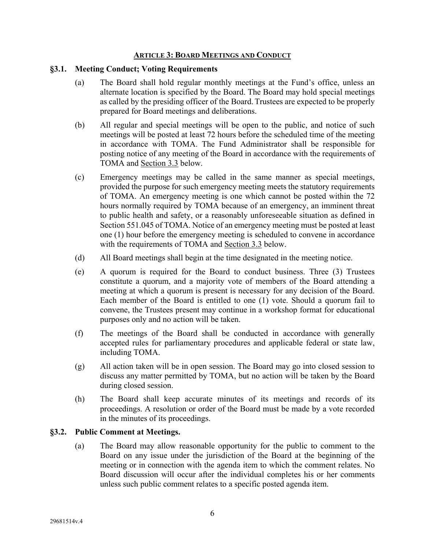#### **ARTICLE 3: BOARD MEETINGS AND CONDUCT**

#### **§3.1. Meeting Conduct; Voting Requirements**

- (a) The Board shall hold regular monthly meetings at the Fund's office, unless an alternate location is specified by the Board. The Board may hold special meetings as called by the presiding officer of the Board.Trustees are expected to be properly prepared for Board meetings and deliberations.
- (b) All regular and special meetings will be open to the public, and notice of such meetings will be posted at least 72 hours before the scheduled time of the meeting in accordance with TOMA. The Fund Administrator shall be responsible for posting notice of any meeting of the Board in accordance with the requirements of TOMA and Section 3.3 below.
- (c) Emergency meetings may be called in the same manner as special meetings, provided the purpose for such emergency meeting meets the statutory requirements of TOMA. An emergency meeting is one which cannot be posted within the 72 hours normally required by TOMA because of an emergency, an imminent threat to public health and safety, or a reasonably unforeseeable situation as defined in Section 551.045 of TOMA. Notice of an emergency meeting must be posted at least one (1) hour before the emergency meeting is scheduled to convene in accordance with the requirements of TOMA and Section 3.3 below.
- (d) All Board meetings shall begin at the time designated in the meeting notice.
- (e) A quorum is required for the Board to conduct business. Three (3) Trustees constitute a quorum, and a majority vote of members of the Board attending a meeting at which a quorum is present is necessary for any decision of the Board. Each member of the Board is entitled to one (1) vote. Should a quorum fail to convene, the Trustees present may continue in a workshop format for educational purposes only and no action will be taken.
- (f) The meetings of the Board shall be conducted in accordance with generally accepted rules for parliamentary procedures and applicable federal or state law, including TOMA.
- (g) All action taken will be in open session. The Board may go into closed session to discuss any matter permitted by TOMA, but no action will be taken by the Board during closed session.
- (h) The Board shall keep accurate minutes of its meetings and records of its proceedings. A resolution or order of the Board must be made by a vote recorded in the minutes of its proceedings.

### **§3.2. Public Comment at Meetings.**

(a) The Board may allow reasonable opportunity for the public to comment to the Board on any issue under the jurisdiction of the Board at the beginning of the meeting or in connection with the agenda item to which the comment relates. No Board discussion will occur after the individual completes his or her comments unless such public comment relates to a specific posted agenda item.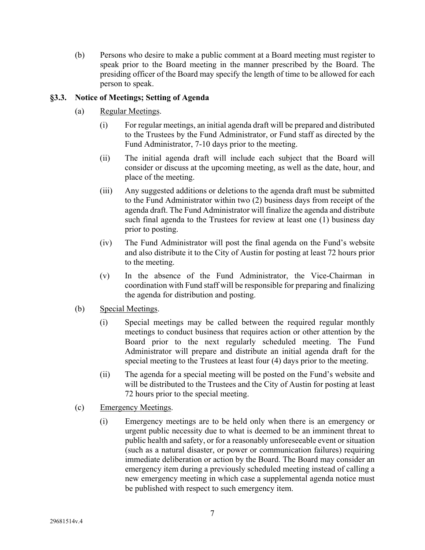(b) Persons who desire to make a public comment at a Board meeting must register to speak prior to the Board meeting in the manner prescribed by the Board. The presiding officer of the Board may specify the length of time to be allowed for each person to speak.

# **§3.3. Notice of Meetings; Setting of Agenda**

- (a) Regular Meetings.
	- (i) For regular meetings, an initial agenda draft will be prepared and distributed to the Trustees by the Fund Administrator, or Fund staff as directed by the Fund Administrator, 7-10 days prior to the meeting.
	- (ii) The initial agenda draft will include each subject that the Board will consider or discuss at the upcoming meeting, as well as the date, hour, and place of the meeting.
	- (iii) Any suggested additions or deletions to the agenda draft must be submitted to the Fund Administrator within two (2) business days from receipt of the agenda draft. The Fund Administrator will finalize the agenda and distribute such final agenda to the Trustees for review at least one (1) business day prior to posting.
	- (iv) The Fund Administrator will post the final agenda on the Fund's website and also distribute it to the City of Austin for posting at least 72 hours prior to the meeting.
	- (v) In the absence of the Fund Administrator, the Vice-Chairman in coordination with Fund staff will be responsible for preparing and finalizing the agenda for distribution and posting.
- (b) Special Meetings.
	- (i) Special meetings may be called between the required regular monthly meetings to conduct business that requires action or other attention by the Board prior to the next regularly scheduled meeting. The Fund Administrator will prepare and distribute an initial agenda draft for the special meeting to the Trustees at least four (4) days prior to the meeting.
	- (ii) The agenda for a special meeting will be posted on the Fund's website and will be distributed to the Trustees and the City of Austin for posting at least 72 hours prior to the special meeting.
- (c) Emergency Meetings.
	- (i) Emergency meetings are to be held only when there is an emergency or urgent public necessity due to what is deemed to be an imminent threat to public health and safety, or for a reasonably unforeseeable event or situation (such as a natural disaster, or power or communication failures) requiring immediate deliberation or action by the Board. The Board may consider an emergency item during a previously scheduled meeting instead of calling a new emergency meeting in which case a supplemental agenda notice must be published with respect to such emergency item.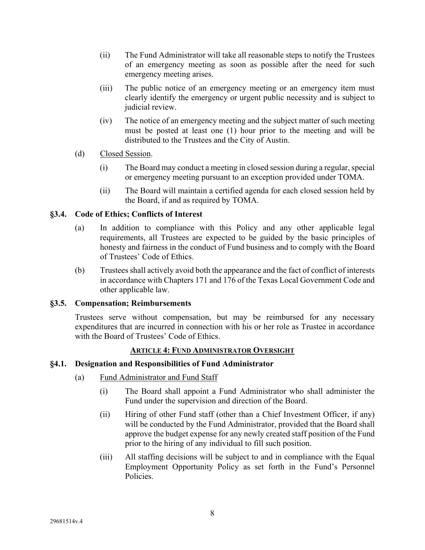- (ii) The Fund Administrator will take all reasonable steps to notify the Trustees of an emergency meeting as soon as possible after the need for such emergency meeting arises.
- (iii) The public notice of an emergency meeting or an emergency item must clearly identify the emergency or urgent public necessity and is subject to judicial review.
- (iv) The notice of an emergency meeting and the subject matter of such meeting must be posted at least one (1) hour prior to the meeting and will be distributed to the Trustees and the City of Austin.

## (d) Closed Session.

- (i) The Board may conduct a meeting in closed session during a regular, special or emergency meeting pursuant to an exception provided under TOMA.
- (ii) The Board will maintain a certified agenda for each closed session held by the Board, if and as required by TOMA.

## **§3.4. Code of Ethics; Conflicts of Interest**

- (a) In addition to compliance with this Policy and any other applicable legal requirements, all Trustees are expected to be guided by the basic principles of honesty and fairness in the conduct of Fund business and to comply with the Board of Trustees' Code of Ethics.
- (b) Trustees shall actively avoid both the appearance and the fact of conflict of interests in accordance with Chapters 171 and 176 of the Texas Local Government Code and other applicable law.

### **§3.5. Compensation; Reimbursements**

Trustees serve without compensation, but may be reimbursed for any necessary expenditures that are incurred in connection with his or her role as Trustee in accordance with the Board of Trustees' Code of Ethics.

### **ARTICLE 4: FUND ADMINISTRATOR OVERSIGHT**

### **§4.1. Designation and Responsibilities of Fund Administrator**

- (a) Fund Administrator and Fund Staff
	- (i) The Board shall appoint a Fund Administrator who shall administer the Fund under the supervision and direction of the Board.
	- (ii) Hiring of other Fund staff (other than a Chief Investment Officer, if any) will be conducted by the Fund Administrator, provided that the Board shall approve the budget expense for any newly created staff position of the Fund prior to the hiring of any individual to fill such position.
	- (iii) All staffing decisions will be subject to and in compliance with the Equal Employment Opportunity Policy as set forth in the Fund's Personnel Policies.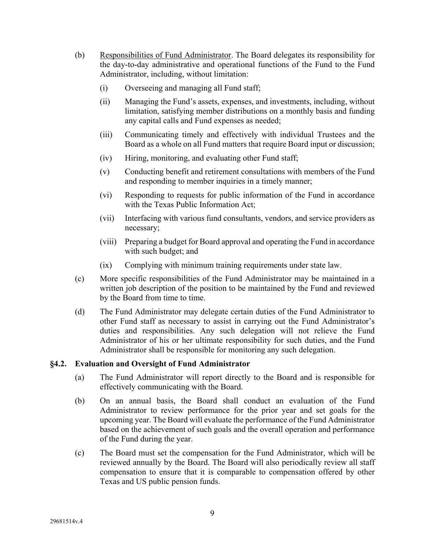- (b) Responsibilities of Fund Administrator. The Board delegates its responsibility for the day-to-day administrative and operational functions of the Fund to the Fund Administrator, including, without limitation:
	- (i) Overseeing and managing all Fund staff;
	- (ii) Managing the Fund's assets, expenses, and investments, including, without limitation, satisfying member distributions on a monthly basis and funding any capital calls and Fund expenses as needed;
	- (iii) Communicating timely and effectively with individual Trustees and the Board as a whole on all Fund matters that require Board input or discussion;
	- (iv) Hiring, monitoring, and evaluating other Fund staff;
	- (v) Conducting benefit and retirement consultations with members of the Fund and responding to member inquiries in a timely manner;
	- (vi) Responding to requests for public information of the Fund in accordance with the Texas Public Information Act;
	- (vii) Interfacing with various fund consultants, vendors, and service providers as necessary;
	- (viii) Preparing a budget for Board approval and operating the Fund in accordance with such budget; and
	- (ix) Complying with minimum training requirements under state law.
- (c) More specific responsibilities of the Fund Administrator may be maintained in a written job description of the position to be maintained by the Fund and reviewed by the Board from time to time.
- (d) The Fund Administrator may delegate certain duties of the Fund Administrator to other Fund staff as necessary to assist in carrying out the Fund Administrator's duties and responsibilities. Any such delegation will not relieve the Fund Administrator of his or her ultimate responsibility for such duties, and the Fund Administrator shall be responsible for monitoring any such delegation.

# **§4.2. Evaluation and Oversight of Fund Administrator**

- (a) The Fund Administrator will report directly to the Board and is responsible for effectively communicating with the Board.
- (b) On an annual basis, the Board shall conduct an evaluation of the Fund Administrator to review performance for the prior year and set goals for the upcoming year. The Board will evaluate the performance of the Fund Administrator based on the achievement of such goals and the overall operation and performance of the Fund during the year.
- (c) The Board must set the compensation for the Fund Administrator, which will be reviewed annually by the Board. The Board will also periodically review all staff compensation to ensure that it is comparable to compensation offered by other Texas and US public pension funds.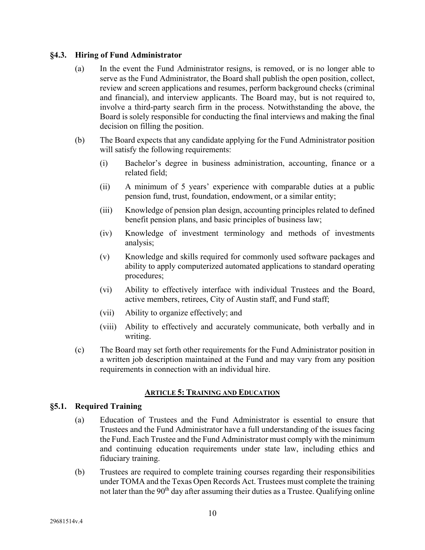## **§4.3. Hiring of Fund Administrator**

- (a) In the event the Fund Administrator resigns, is removed, or is no longer able to serve as the Fund Administrator, the Board shall publish the open position, collect, review and screen applications and resumes, perform background checks (criminal and financial), and interview applicants. The Board may, but is not required to, involve a third-party search firm in the process. Notwithstanding the above, the Board is solely responsible for conducting the final interviews and making the final decision on filling the position.
- (b) The Board expects that any candidate applying for the Fund Administrator position will satisfy the following requirements:
	- (i) Bachelor's degree in business administration, accounting, finance or a related field;
	- (ii) A minimum of 5 years' experience with comparable duties at a public pension fund, trust, foundation, endowment, or a similar entity;
	- (iii) Knowledge of pension plan design, accounting principles related to defined benefit pension plans, and basic principles of business law;
	- (iv) Knowledge of investment terminology and methods of investments analysis;
	- (v) Knowledge and skills required for commonly used software packages and ability to apply computerized automated applications to standard operating procedures;
	- (vi) Ability to effectively interface with individual Trustees and the Board, active members, retirees, City of Austin staff, and Fund staff;
	- (vii) Ability to organize effectively; and
	- (viii) Ability to effectively and accurately communicate, both verbally and in writing.
- (c) The Board may set forth other requirements for the Fund Administrator position in a written job description maintained at the Fund and may vary from any position requirements in connection with an individual hire.

# **ARTICLE 5: TRAINING AND EDUCATION**

### **§5.1. Required Training**

- (a) Education of Trustees and the Fund Administrator is essential to ensure that Trustees and the Fund Administrator have a full understanding of the issues facing the Fund. Each Trustee and the Fund Administrator must comply with the minimum and continuing education requirements under state law, including ethics and fiduciary training.
- (b) Trustees are required to complete training courses regarding their responsibilities under TOMA and the Texas Open Records Act. Trustees must complete the training not later than the 90<sup>th</sup> day after assuming their duties as a Trustee. Qualifying online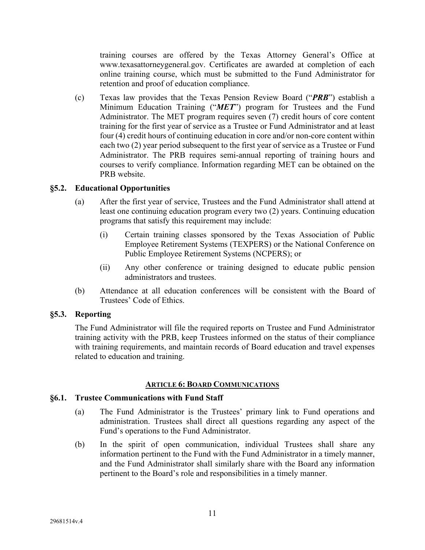training courses are offered by the Texas Attorney General's Office at www.texasattorneygeneral.gov. Certificates are awarded at completion of each online training course, which must be submitted to the Fund Administrator for retention and proof of education compliance.

(c) Texas law provides that the Texas Pension Review Board ("*PRB*") establish a Minimum Education Training ("*MET*") program for Trustees and the Fund Administrator. The MET program requires seven (7) credit hours of core content training for the first year of service as a Trustee or Fund Administrator and at least four (4) credit hours of continuing education in core and/or non-core content within each two (2) year period subsequent to the first year of service as a Trustee or Fund Administrator. The PRB requires semi-annual reporting of training hours and courses to verify compliance. Information regarding MET can be obtained on the PRB website.

## **§5.2. Educational Opportunities**

- (a) After the first year of service, Trustees and the Fund Administrator shall attend at least one continuing education program every two (2) years. Continuing education programs that satisfy this requirement may include:
	- (i) Certain training classes sponsored by the Texas Association of Public Employee Retirement Systems (TEXPERS) or the National Conference on Public Employee Retirement Systems (NCPERS); or
	- (ii) Any other conference or training designed to educate public pension administrators and trustees.
- (b) Attendance at all education conferences will be consistent with the Board of Trustees' Code of Ethics.

### **§5.3. Reporting**

The Fund Administrator will file the required reports on Trustee and Fund Administrator training activity with the PRB, keep Trustees informed on the status of their compliance with training requirements, and maintain records of Board education and travel expenses related to education and training.

### **ARTICLE 6: BOARD COMMUNICATIONS**

### **§6.1. Trustee Communications with Fund Staff**

- (a) The Fund Administrator is the Trustees' primary link to Fund operations and administration. Trustees shall direct all questions regarding any aspect of the Fund's operations to the Fund Administrator.
- (b) In the spirit of open communication, individual Trustees shall share any information pertinent to the Fund with the Fund Administrator in a timely manner, and the Fund Administrator shall similarly share with the Board any information pertinent to the Board's role and responsibilities in a timely manner.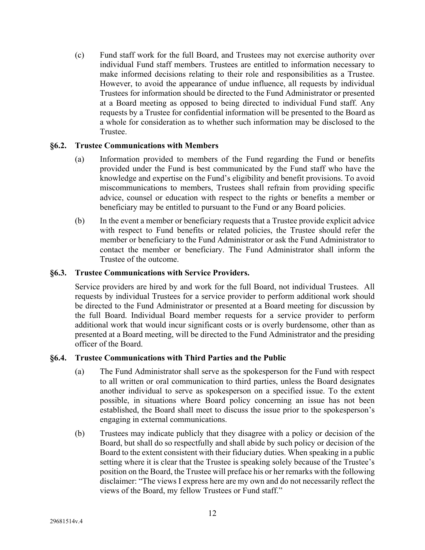(c) Fund staff work for the full Board, and Trustees may not exercise authority over individual Fund staff members. Trustees are entitled to information necessary to make informed decisions relating to their role and responsibilities as a Trustee. However, to avoid the appearance of undue influence, all requests by individual Trustees for information should be directed to the Fund Administrator or presented at a Board meeting as opposed to being directed to individual Fund staff. Any requests by a Trustee for confidential information will be presented to the Board as a whole for consideration as to whether such information may be disclosed to the Trustee.

## **§6.2. Trustee Communications with Members**

- (a) Information provided to members of the Fund regarding the Fund or benefits provided under the Fund is best communicated by the Fund staff who have the knowledge and expertise on the Fund's eligibility and benefit provisions. To avoid miscommunications to members, Trustees shall refrain from providing specific advice, counsel or education with respect to the rights or benefits a member or beneficiary may be entitled to pursuant to the Fund or any Board policies.
- (b) In the event a member or beneficiary requests that a Trustee provide explicit advice with respect to Fund benefits or related policies, the Trustee should refer the member or beneficiary to the Fund Administrator or ask the Fund Administrator to contact the member or beneficiary. The Fund Administrator shall inform the Trustee of the outcome.

## **§6.3. Trustee Communications with Service Providers.**

Service providers are hired by and work for the full Board, not individual Trustees. All requests by individual Trustees for a service provider to perform additional work should be directed to the Fund Administrator or presented at a Board meeting for discussion by the full Board. Individual Board member requests for a service provider to perform additional work that would incur significant costs or is overly burdensome, other than as presented at a Board meeting, will be directed to the Fund Administrator and the presiding officer of the Board.

### **§6.4. Trustee Communications with Third Parties and the Public**

- (a) The Fund Administrator shall serve as the spokesperson for the Fund with respect to all written or oral communication to third parties, unless the Board designates another individual to serve as spokesperson on a specified issue. To the extent possible, in situations where Board policy concerning an issue has not been established, the Board shall meet to discuss the issue prior to the spokesperson's engaging in external communications.
- (b) Trustees may indicate publicly that they disagree with a policy or decision of the Board, but shall do so respectfully and shall abide by such policy or decision of the Board to the extent consistent with their fiduciary duties. When speaking in a public setting where it is clear that the Trustee is speaking solely because of the Trustee's position on the Board, the Trustee will preface his or her remarks with the following disclaimer: "The views I express here are my own and do not necessarily reflect the views of the Board, my fellow Trustees or Fund staff."